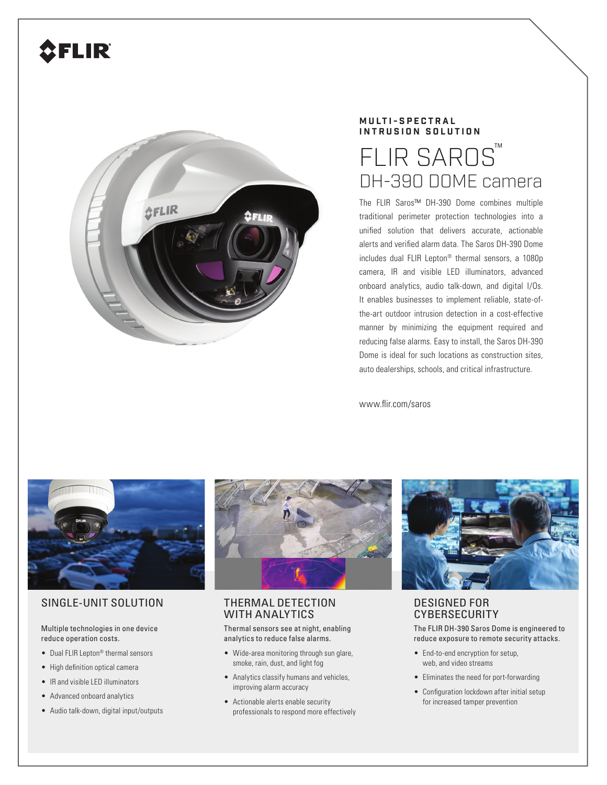# **CFLIR**



### **MULTI-SPECTRAL INTRUSION SOLUTION**

## **FLIR SAROS**™ DH-390 DOME camera

The FLIR Saros™ DH-390 Dome combines multiple traditional perimeter protection technologies into a unified solution that delivers accurate, actionable alerts and verified alarm data. The Saros DH-390 Dome includes dual FLIR Lepton® thermal sensors, a 1080p camera, IR and visible LED illuminators, advanced onboard analytics, audio talk-down, and digital I/Os. It enables businesses to implement reliable, state-ofthe-art outdoor intrusion detection in a cost-effective manner by minimizing the equipment required and reducing false alarms. Easy to install, the Saros DH-390 Dome is ideal for such locations as construction sites, auto dealerships, schools, and critical infrastructure.

www.flir.com/saros



#### SINGLE-UNIT SOLUTION THERMAL DETECTION

Multiple technologies in one device reduce operation costs.

- Dual FLIR Lepton® thermal sensors
- High definition optical camera
- IR and visible LED illuminators
- Advanced onboard analytics
- Audio talk-down, digital input/outputs



## WITH ANALYTICS

Thermal sensors see at night, enabling analytics to reduce false alarms.

- Wide-area monitoring through sun glare, smoke, rain, dust, and light fog
- Analytics classify humans and vehicles, improving alarm accuracy
- Actionable alerts enable security professionals to respond more effectively



#### DESIGNED FOR **CYBERSECURITY**

The FLIR DH-390 Saros Dome is engineered to reduce exposure to remote security attacks.

- End-to-end encryption for setup, web, and video streams
- Eliminates the need for port-forwarding
- Configuration lockdown after initial setup for increased tamper prevention